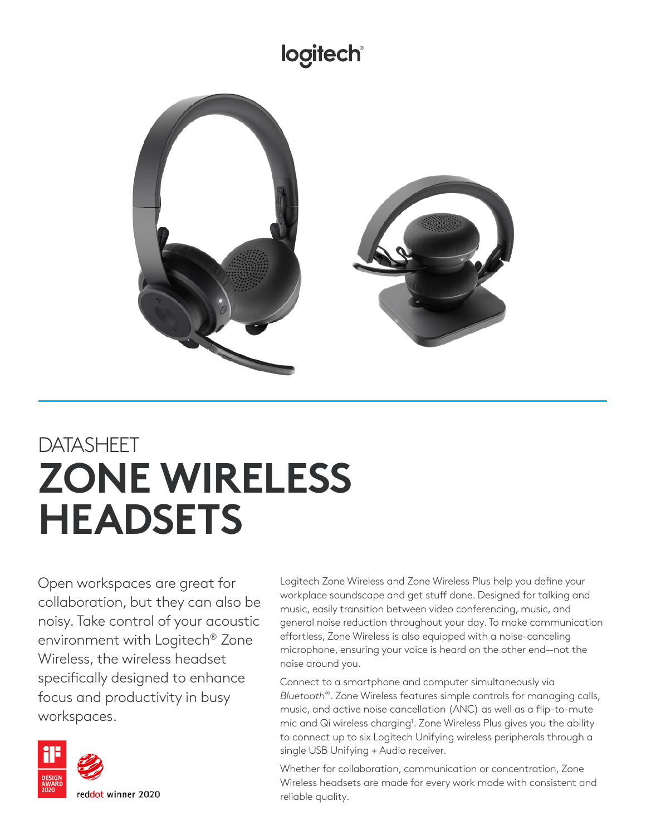## logitech®



## DATASHEET **ZONE WIRELESS HEADSETS**

Open workspaces are great for collaboration, but they can also be noisy. Take control of your acoustic environment with Logitech® Zone Wireless, the wireless headset specifically designed to enhance focus and productivity in busy workspaces.



Logitech Zone Wireless and Zone Wireless Plus help you define your workplace soundscape and get stuff done. Designed for talking and music, easily transition between video conferencing, music, and general noise reduction throughout your day. To make communication effortless, Zone Wireless is also equipped with a noise-canceling microphone, ensuring your voice is heard on the other end—not the noise around you.

Connect to a smartphone and computer simultaneously via *Bluetooth*®. Zone Wireless features simple controls for managing calls, music, and active noise cancellation (ANC) as well as a flip-to-mute mic and Qi wireless charging<sup>1</sup>. Zone Wireless Plus gives you the ability to connect up to six Logitech Unifying wireless peripherals through a single USB Unifying + Audio receiver.

Whether for collaboration, communication or concentration, Zone Wireless headsets are made for every work mode with consistent and reliable quality.